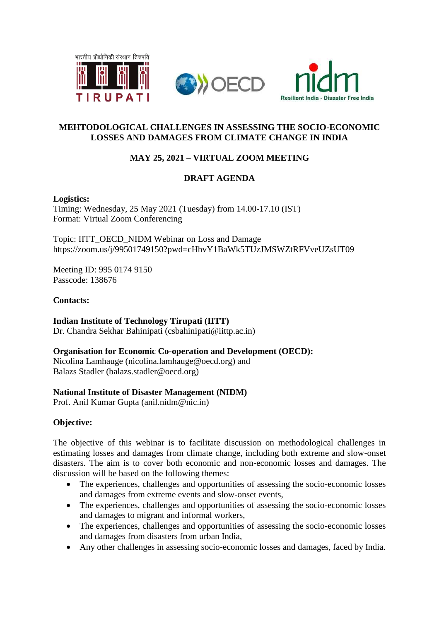

# **MEHTODOLOGICAL CHALLENGES IN ASSESSING THE SOCIO-ECONOMIC LOSSES AND DAMAGES FROM CLIMATE CHANGE IN INDIA**

# **MAY 25, 2021 – VIRTUAL ZOOM MEETING**

# **DRAFT AGENDA**

#### **Logistics:**

Timing: Wednesday, 25 May 2021 (Tuesday) from 14.00-17.10 (IST) Format: Virtual Zoom Conferencing

Topic: IITT\_OECD\_NIDM Webinar on Loss and Damage https://zoom.us/j/99501749150?pwd=cHhvY1BaWk5TUzJMSWZtRFVveUZsUT09

Meeting ID: 995 0174 9150 Passcode: 138676

#### **Contacts:**

**Indian Institute of Technology Tirupati (IITT)**

Dr. Chandra Sekhar Bahinipati (csbahinipati@iittp.ac.in)

#### **Organisation for Economic Co-operation and Development (OECD):**

Nicolina Lamhauge (nicolina.lamhauge@oecd.org) and Balazs Stadler (balazs.stadler@oecd.org)

#### **National Institute of Disaster Management (NIDM)**

Prof. Anil Kumar Gupta (anil.nidm@nic.in)

# **Objective:**

The objective of this webinar is to facilitate discussion on methodological challenges in estimating losses and damages from climate change, including both extreme and slow-onset disasters. The aim is to cover both economic and non-economic losses and damages. The discussion will be based on the following themes:

- The experiences, challenges and opportunities of assessing the socio-economic losses and damages from extreme events and slow-onset events,
- The experiences, challenges and opportunities of assessing the socio-economic losses and damages to migrant and informal workers,
- The experiences, challenges and opportunities of assessing the socio-economic losses and damages from disasters from urban India,
- Any other challenges in assessing socio-economic losses and damages, faced by India.